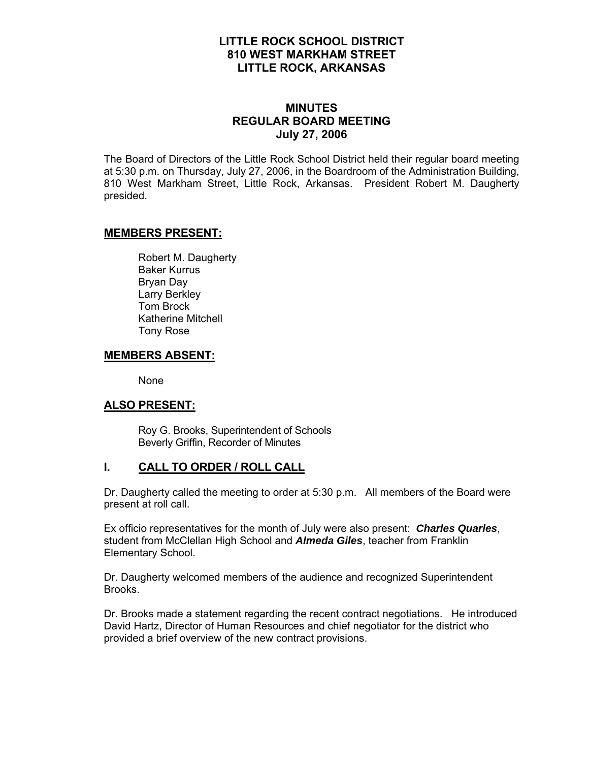## **LITTLE ROCK SCHOOL DISTRICT 810 WEST MARKHAM STREET LITTLE ROCK, ARKANSAS**

## **MINUTES REGULAR BOARD MEETING July 27, 2006**

The Board of Directors of the Little Rock School District held their regular board meeting at 5:30 p.m. on Thursday, July 27, 2006, in the Boardroom of the Administration Building, 810 West Markham Street, Little Rock, Arkansas. President Robert M. Daugherty presided.

### **MEMBERS PRESENT:**

Robert M. Daugherty Baker Kurrus Bryan Day Larry Berkley Tom Brock Katherine Mitchell Tony Rose

### **MEMBERS ABSENT:**

None

### **ALSO PRESENT:**

 Roy G. Brooks, Superintendent of Schools Beverly Griffin, Recorder of Minutes

# **I. CALL TO ORDER / ROLL CALL**

Dr. Daugherty called the meeting to order at 5:30 p.m. All members of the Board were present at roll call.

Ex officio representatives for the month of July were also present: *Charles Quarles*, student from McClellan High School and *Almeda Giles*, teacher from Franklin Elementary School.

Dr. Daugherty welcomed members of the audience and recognized Superintendent Brooks.

Dr. Brooks made a statement regarding the recent contract negotiations. He introduced David Hartz, Director of Human Resources and chief negotiator for the district who provided a brief overview of the new contract provisions.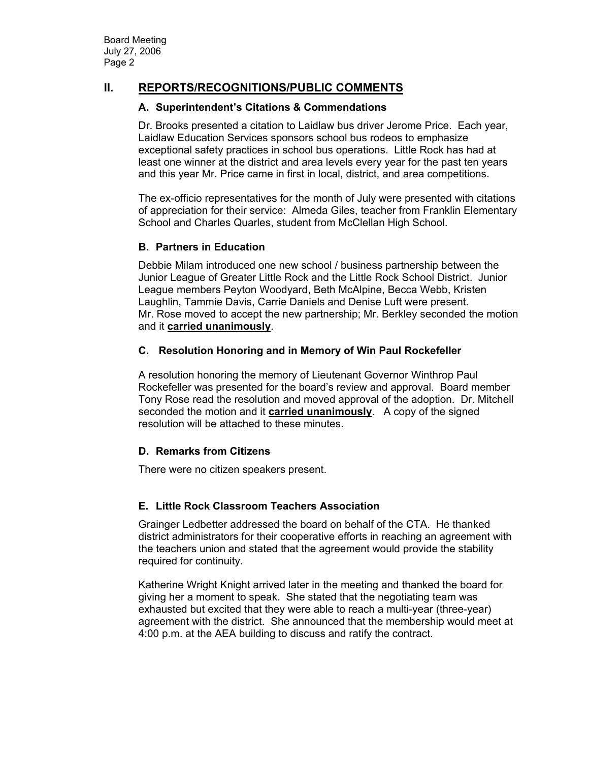# **II. REPORTS/RECOGNITIONS/PUBLIC COMMENTS**

#### **A. Superintendent's Citations & Commendations**

Dr. Brooks presented a citation to Laidlaw bus driver Jerome Price. Each year, Laidlaw Education Services sponsors school bus rodeos to emphasize exceptional safety practices in school bus operations. Little Rock has had at least one winner at the district and area levels every year for the past ten years and this year Mr. Price came in first in local, district, and area competitions.

The ex-officio representatives for the month of July were presented with citations of appreciation for their service: Almeda Giles, teacher from Franklin Elementary School and Charles Quarles, student from McClellan High School.

### **B. Partners in Education**

Debbie Milam introduced one new school / business partnership between the Junior League of Greater Little Rock and the Little Rock School District. Junior League members Peyton Woodyard, Beth McAlpine, Becca Webb, Kristen Laughlin, Tammie Davis, Carrie Daniels and Denise Luft were present. Mr. Rose moved to accept the new partnership; Mr. Berkley seconded the motion and it **carried unanimously**.

### **C. Resolution Honoring and in Memory of Win Paul Rockefeller**

A resolution honoring the memory of Lieutenant Governor Winthrop Paul Rockefeller was presented for the board's review and approval. Board member Tony Rose read the resolution and moved approval of the adoption. Dr. Mitchell seconded the motion and it **carried unanimously**. A copy of the signed resolution will be attached to these minutes.

### **D. Remarks from Citizens**

There were no citizen speakers present.

### **E. Little Rock Classroom Teachers Association**

Grainger Ledbetter addressed the board on behalf of the CTA. He thanked district administrators for their cooperative efforts in reaching an agreement with the teachers union and stated that the agreement would provide the stability required for continuity.

Katherine Wright Knight arrived later in the meeting and thanked the board for giving her a moment to speak. She stated that the negotiating team was exhausted but excited that they were able to reach a multi-year (three-year) agreement with the district. She announced that the membership would meet at 4:00 p.m. at the AEA building to discuss and ratify the contract.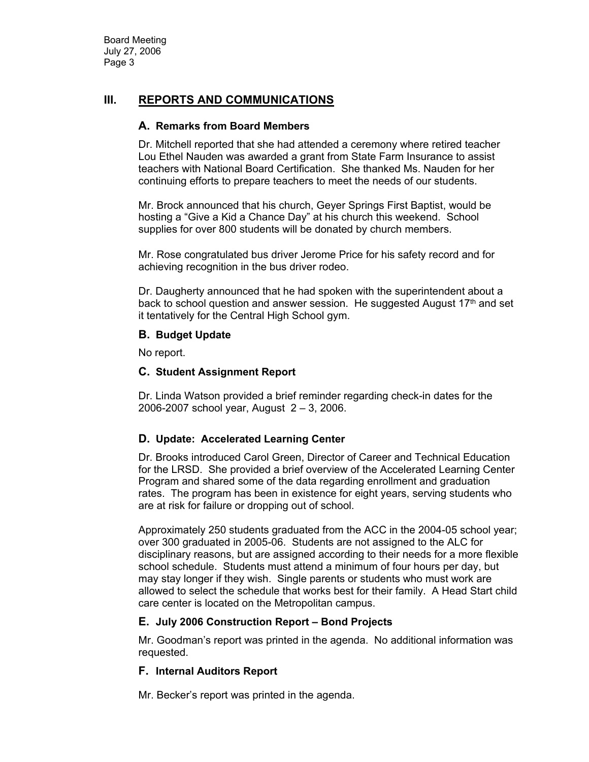## **III. REPORTS AND COMMUNICATIONS**

#### **A. Remarks from Board Members**

Dr. Mitchell reported that she had attended a ceremony where retired teacher Lou Ethel Nauden was awarded a grant from State Farm Insurance to assist teachers with National Board Certification. She thanked Ms. Nauden for her continuing efforts to prepare teachers to meet the needs of our students.

Mr. Brock announced that his church, Geyer Springs First Baptist, would be hosting a "Give a Kid a Chance Day" at his church this weekend. School supplies for over 800 students will be donated by church members.

Mr. Rose congratulated bus driver Jerome Price for his safety record and for achieving recognition in the bus driver rodeo.

Dr. Daugherty announced that he had spoken with the superintendent about a back to school question and answer session. He suggested August  $17<sup>th</sup>$  and set it tentatively for the Central High School gym.

#### **B. Budget Update**

No report.

### **C. Student Assignment Report**

Dr. Linda Watson provided a brief reminder regarding check-in dates for the 2006-2007 school year, August 2 – 3, 2006.

### **D. Update: Accelerated Learning Center**

Dr. Brooks introduced Carol Green, Director of Career and Technical Education for the LRSD. She provided a brief overview of the Accelerated Learning Center Program and shared some of the data regarding enrollment and graduation rates. The program has been in existence for eight years, serving students who are at risk for failure or dropping out of school.

Approximately 250 students graduated from the ACC in the 2004-05 school year; over 300 graduated in 2005-06. Students are not assigned to the ALC for disciplinary reasons, but are assigned according to their needs for a more flexible school schedule. Students must attend a minimum of four hours per day, but may stay longer if they wish. Single parents or students who must work are allowed to select the schedule that works best for their family. A Head Start child care center is located on the Metropolitan campus.

### **E. July 2006 Construction Report – Bond Projects**

Mr. Goodman's report was printed in the agenda. No additional information was requested.

### **F. Internal Auditors Report**

Mr. Becker's report was printed in the agenda.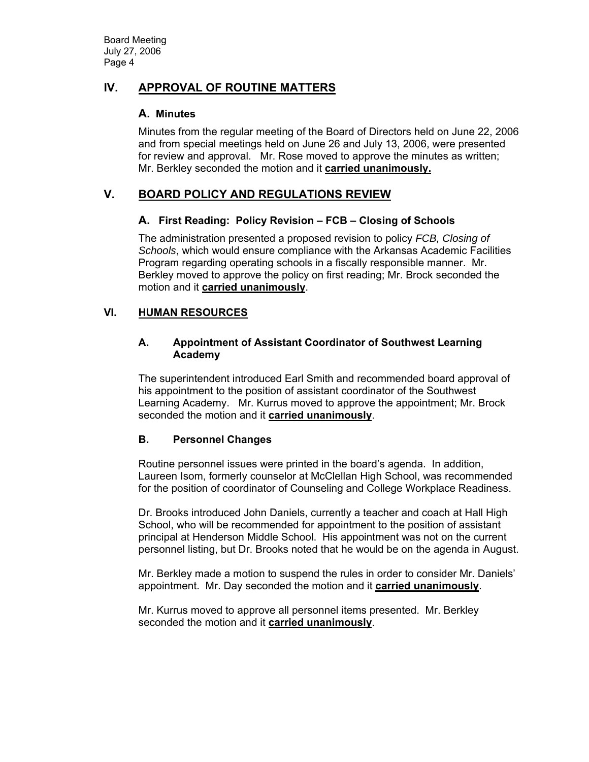# **IV. APPROVAL OF ROUTINE MATTERS**

### **A. Minutes**

Minutes from the regular meeting of the Board of Directors held on June 22, 2006 and from special meetings held on June 26 and July 13, 2006, were presented for review and approval. Mr. Rose moved to approve the minutes as written; Mr. Berkley seconded the motion and it **carried unanimously.** 

# **V. BOARD POLICY AND REGULATIONS REVIEW**

### **A. First Reading: Policy Revision – FCB – Closing of Schools**

The administration presented a proposed revision to policy *FCB, Closing of Schools*, which would ensure compliance with the Arkansas Academic Facilities Program regarding operating schools in a fiscally responsible manner. Mr. Berkley moved to approve the policy on first reading; Mr. Brock seconded the motion and it **carried unanimously**.

## **VI. HUMAN RESOURCES**

### **A. Appointment of Assistant Coordinator of Southwest Learning Academy**

The superintendent introduced Earl Smith and recommended board approval of his appointment to the position of assistant coordinator of the Southwest Learning Academy. Mr. Kurrus moved to approve the appointment; Mr. Brock seconded the motion and it **carried unanimously**.

## **B. Personnel Changes**

Routine personnel issues were printed in the board's agenda. In addition, Laureen Isom, formerly counselor at McClellan High School, was recommended for the position of coordinator of Counseling and College Workplace Readiness.

Dr. Brooks introduced John Daniels, currently a teacher and coach at Hall High School, who will be recommended for appointment to the position of assistant principal at Henderson Middle School. His appointment was not on the current personnel listing, but Dr. Brooks noted that he would be on the agenda in August.

Mr. Berkley made a motion to suspend the rules in order to consider Mr. Daniels' appointment. Mr. Day seconded the motion and it **carried unanimously**.

Mr. Kurrus moved to approve all personnel items presented. Mr. Berkley seconded the motion and it **carried unanimously**.